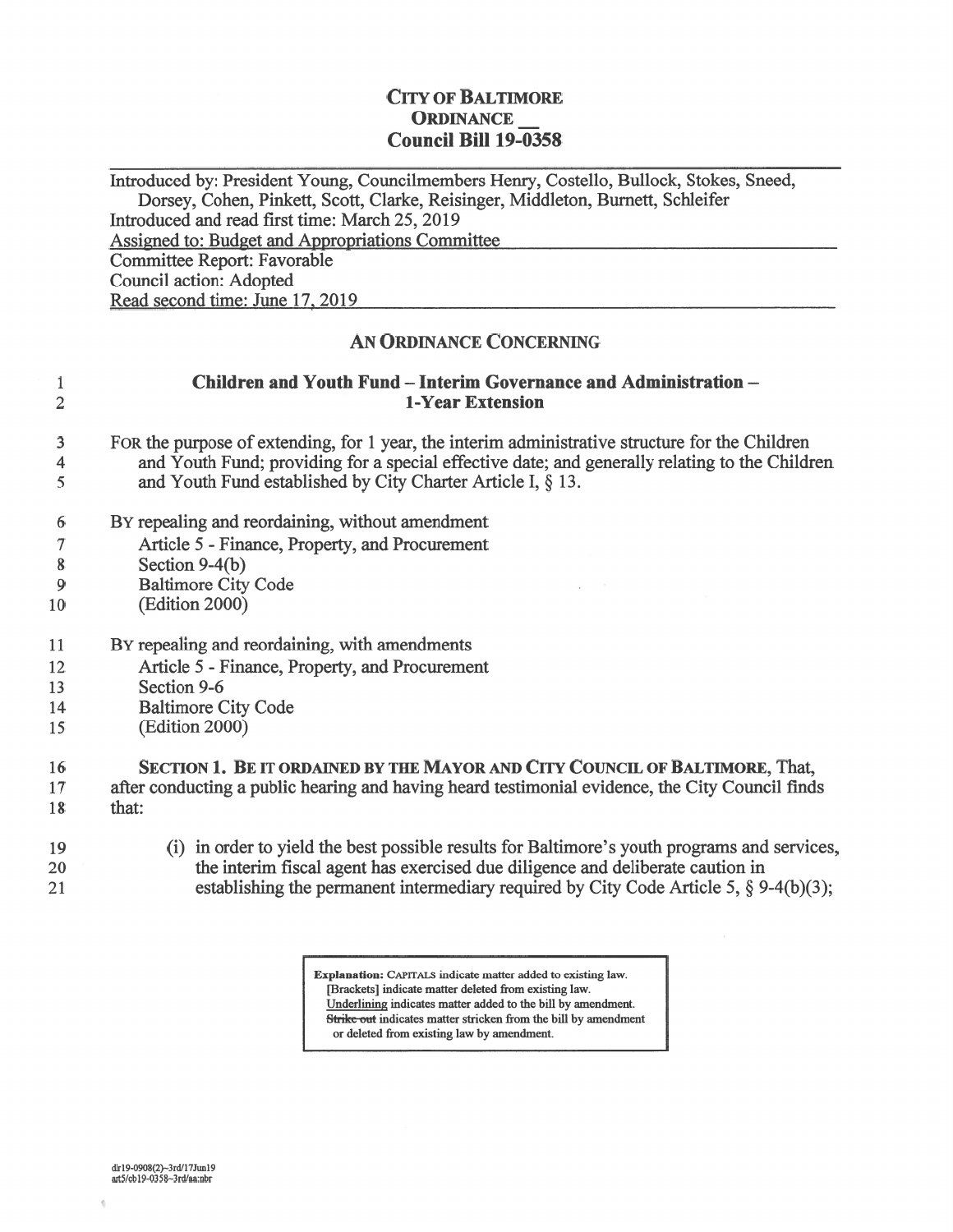## CITY OF BALTIMORE ORDINANCE Council Bill 19-0358

Introduced by: President Young, Councilmembers Henry, Costello, Bullock, Stokes, Sneed, Dorsey, Cohen, Pinkett, Scott, Clarke, Reisinger, Middleton, Burnett, Schleifer Introduced and read first time: March 25, 2019 Assigned to: Budget and Appropriations Committee Committee Report: Favorable Council action: Adopted Read second time: June 17, 2019

## AN ORDINANCE CONCERNING

| $\mathbf{1}$<br>$\overline{2}$ | Children and Youth Fund - Interim Governance and Administration -<br>1-Year Extension                                                                                                                                                                               |
|--------------------------------|---------------------------------------------------------------------------------------------------------------------------------------------------------------------------------------------------------------------------------------------------------------------|
| 3<br>4<br>5                    | FOR the purpose of extending, for 1 year, the interim administrative structure for the Children<br>and Youth Fund; providing for a special effective date; and generally relating to the Children<br>and Youth Fund established by City Charter Article I, $\S$ 13. |
|                                |                                                                                                                                                                                                                                                                     |
| 6                              | BY repealing and reordaining, without amendment                                                                                                                                                                                                                     |
| $\tau$                         | Article 5 - Finance, Property, and Procurement                                                                                                                                                                                                                      |
| 8                              | Section 9-4(b)                                                                                                                                                                                                                                                      |
| 9                              | <b>Baltimore City Code</b>                                                                                                                                                                                                                                          |
| $\overline{\mathbf{0}}$        | (Edition 2000)                                                                                                                                                                                                                                                      |
| $\cdot$                        | BY repealing and reordaining, with amendments                                                                                                                                                                                                                       |
|                                | Article 5 - Finance, Property, and Procurement                                                                                                                                                                                                                      |
| $\frac{2}{3}$<br>4             | Section 9-6                                                                                                                                                                                                                                                         |
|                                | <b>Baltimore City Code</b>                                                                                                                                                                                                                                          |
| 5                              | (Edition 2000)                                                                                                                                                                                                                                                      |
| $6\phantom{.}6$                | SECTION 1. BE IT ORDAINED BY THE MAYOR AND CITY COUNCIL OF BALTIMORE, That,                                                                                                                                                                                         |
| $\sqrt{7}$                     | after conducting a public hearing and having heard testimonial evidence, the City Council finds                                                                                                                                                                     |
| $\boldsymbol{8}$               | that:                                                                                                                                                                                                                                                               |
| $\overline{9}$                 | (i) in order to yield the best possible results for Baltimore's youth programs and services,                                                                                                                                                                        |
| $20^{\circ}$                   | the interim fiscal agent has exercised due diligence and deliberate caution in                                                                                                                                                                                      |
| $^{21}$                        | establishing the permanent intermediary required by City Code Article 5, $\S$ 9-4(b)(3);                                                                                                                                                                            |

Explanation: CAPITALS indicate matter added to existing law. [Brackets] indicate matter deleted from existing law. Underlining indicates matter added to the bill by amendment. Strike out indicates matter stricken from the bill by amendment or deleted from existing law by amendment.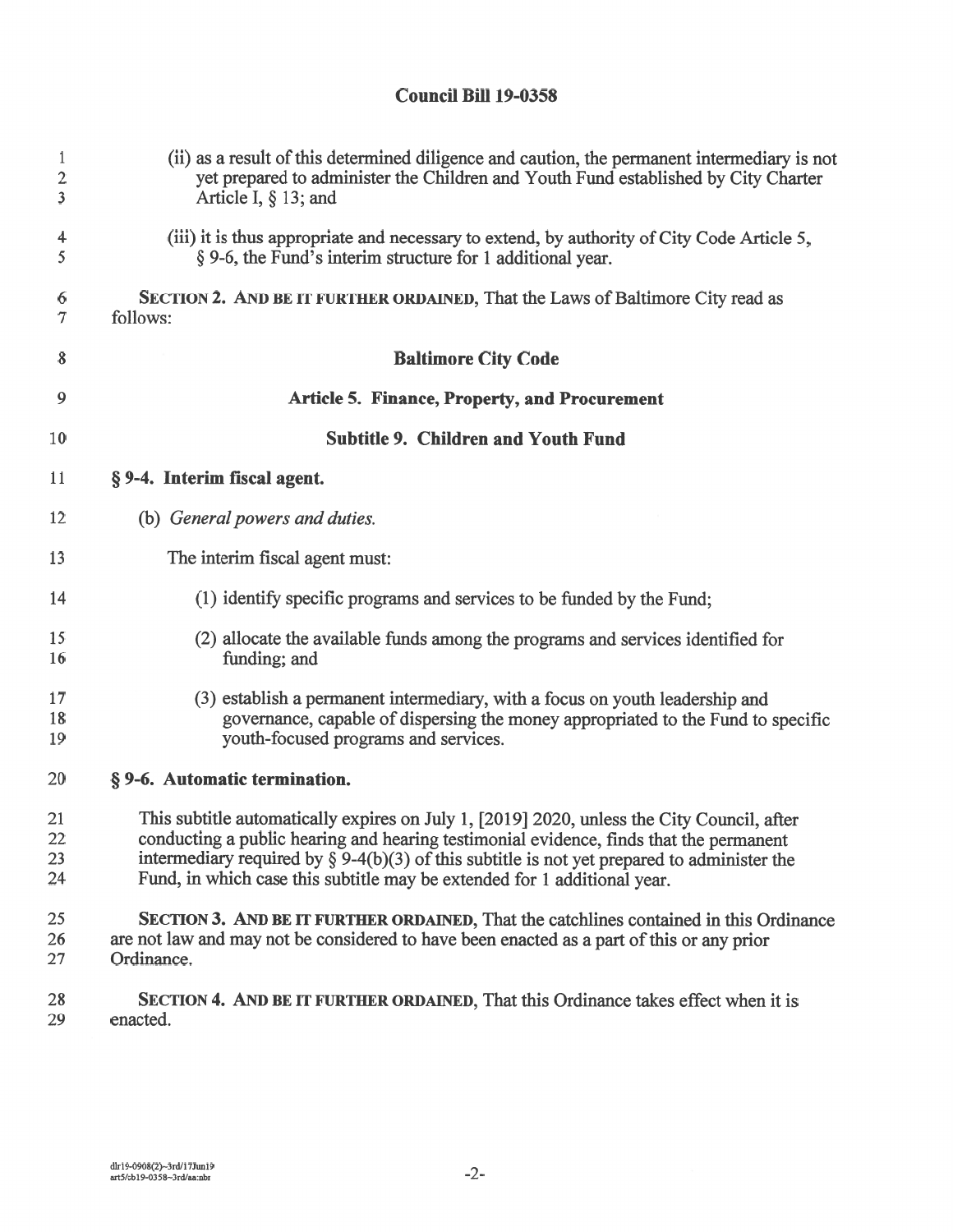## Council Bill 19-0358

| $\mathbf{1}$            | (ii) as a result of this determined diligence and caution, the permanent intermediary is not   |
|-------------------------|------------------------------------------------------------------------------------------------|
| $\overline{c}$          | yet prepared to administer the Children and Youth Fund established by City Charter             |
| $\overline{\mathbf{3}}$ | Article I, $\S$ 13; and                                                                        |
| 4                       | (iii) it is thus appropriate and necessary to extend, by authority of City Code Article 5,     |
| 5                       | § 9-6, the Fund's interim structure for 1 additional year.                                     |
| 6                       | <b>SECTION 2. AND BE IT FURTHER ORDAINED, That the Laws of Baltimore City read as</b>          |
| $\tau$                  | follows:                                                                                       |
| 8                       | <b>Baltimore City Code</b>                                                                     |
| 9                       | <b>Article 5. Finance, Property, and Procurement</b>                                           |
| 10                      | <b>Subtitle 9. Children and Youth Fund</b>                                                     |
| 11                      | § 9-4. Interim fiscal agent.                                                                   |
| 12                      | (b) General powers and duties.                                                                 |
| 13                      | The interim fiscal agent must:                                                                 |
| 14                      | (1) identify specific programs and services to be funded by the Fund;                          |
| 15                      | (2) allocate the available funds among the programs and services identified for                |
| 16                      | funding; and                                                                                   |
| 17                      | (3) establish a permanent intermediary, with a focus on youth leadership and                   |
| 18                      | governance, capable of dispersing the money appropriated to the Fund to specific               |
| 19                      | youth-focused programs and services.                                                           |
| 20                      | § 9-6. Automatic termination.                                                                  |
| 21                      | This subtitle automatically expires on July 1, [2019] 2020, unless the City Council, after     |
| 22                      | conducting a public hearing and hearing testimonial evidence, finds that the permanent         |
| 23                      | intermediary required by $\S$ 9-4(b)(3) of this subtitle is not yet prepared to administer the |
| 24                      | Fund, in which case this subtitle may be extended for 1 additional year.                       |
| 25                      | SECTION 3. AND BE IT FURTHER ORDAINED, That the catchlines contained in this Ordinance         |
| 26                      | are not law and may not be considered to have been enacted as a part of this or any prior      |
| 27                      | Ordinance.                                                                                     |
| 28                      | SECTION 4. AND BE IT FURTHER ORDAINED, That this Ordinance takes effect when it is             |
| 29                      | enacted.                                                                                       |